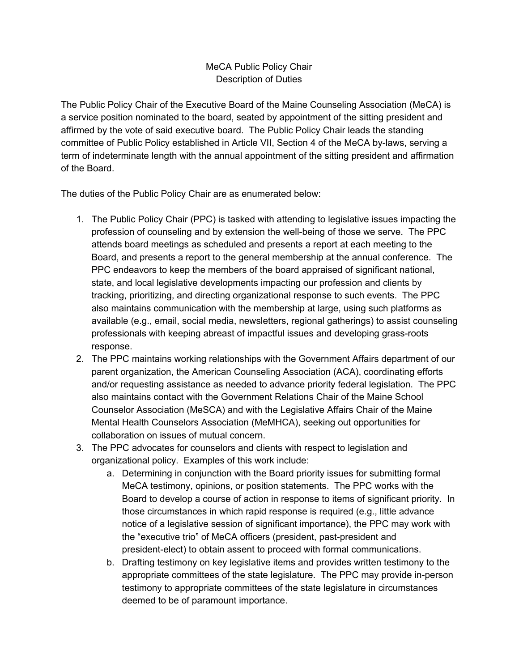## MeCA Public Policy Chair Description of Duties

The Public Policy Chair of the Executive Board of the Maine Counseling Association (MeCA) is a service position nominated to the board, seated by appointment of the sitting president and affirmed by the vote of said executive board. The Public Policy Chair leads the standing committee of Public Policy established in Article VII, Section 4 of the MeCA by-laws, serving a term of indeterminate length with the annual appointment of the sitting president and affirmation of the Board.

The duties of the Public Policy Chair are as enumerated below:

- 1. The Public Policy Chair (PPC) is tasked with attending to legislative issues impacting the profession of counseling and by extension the well-being of those we serve. The PPC attends board meetings as scheduled and presents a report at each meeting to the Board, and presents a report to the general membership at the annual conference. The PPC endeavors to keep the members of the board appraised of significant national, state, and local legislative developments impacting our profession and clients by tracking, prioritizing, and directing organizational response to such events. The PPC also maintains communication with the membership at large, using such platforms as available (e.g., email, social media, newsletters, regional gatherings) to assist counseling professionals with keeping abreast of impactful issues and developing grass-roots response.
- 2. The PPC maintains working relationships with the Government Affairs department of our parent organization, the American Counseling Association (ACA), coordinating efforts and/or requesting assistance as needed to advance priority federal legislation. The PPC also maintains contact with the Government Relations Chair of the Maine School Counselor Association (MeSCA) and with the Legislative Affairs Chair of the Maine Mental Health Counselors Association (MeMHCA), seeking out opportunities for collaboration on issues of mutual concern.
- 3. The PPC advocates for counselors and clients with respect to legislation and organizational policy. Examples of this work include:
	- a. Determining in conjunction with the Board priority issues for submitting formal MeCA testimony, opinions, or position statements. The PPC works with the Board to develop a course of action in response to items of significant priority. In those circumstances in which rapid response is required (e.g., little advance notice of a legislative session of significant importance), the PPC may work with the "executive trio" of MeCA officers (president, past-president and president-elect) to obtain assent to proceed with formal communications.
	- b. Drafting testimony on key legislative items and provides written testimony to the appropriate committees of the state legislature. The PPC may provide in-person testimony to appropriate committees of the state legislature in circumstances deemed to be of paramount importance.